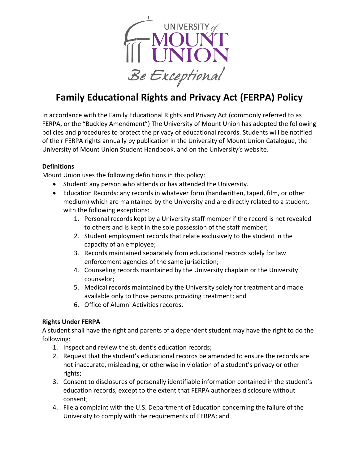

# **Family Educational Rights and Privacy Act (FERPA) Policy**

In accordance with the Family Educational Rights and Privacy Act (commonly referred to as FERPA, or the "Buckley Amendment") The University of Mount Union has adopted the following policies and procedures to protect the privacy of educational records. Students will be notified of their FERPA rights annually by publication in the University of Mount Union Catalogue, the University of Mount Union Student Handbook, and on the University's website.

# **Definitions**

Mount Union uses the following definitions in this policy:

- Student: any person who attends or has attended the University.
- Education Records: any records in whatever form (handwritten, taped, film, or other medium) which are maintained by the University and are directly related to a student, with the following exceptions:
	- 1. Personal records kept by a University staff member if the record is not revealed to others and is kept in the sole possession of the staff member;
	- 2. Student employment records that relate exclusively to the student in the capacity of an employee;
	- 3. Records maintained separately from educational records solely for law enforcement agencies of the same jurisdiction;
	- 4. Counseling records maintained by the University chaplain or the University counselor;
	- 5. Medical records maintained by the University solely for treatment and made available only to those persons providing treatment; and
	- 6. Office of Alumni Activities records.

# **Rights Under FERPA**

A student shall have the right and parents of a dependent student may have the right to do the following: 

- 1. Inspect and review the student's education records;
- 2. Request that the student's educational records be amended to ensure the records are not inaccurate, misleading, or otherwise in violation of a student's privacy or other rights;
- 3. Consent to disclosures of personally identifiable information contained in the student's education records, except to the extent that FERPA authorizes disclosure without consent;
- 4. File a complaint with the U.S. Department of Education concerning the failure of the University to comply with the requirements of FERPA; and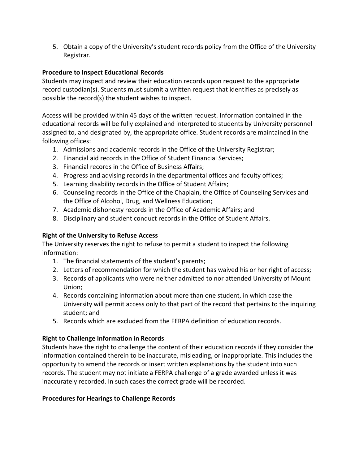5. Obtain a copy of the University's student records policy from the Office of the University Registrar.

# **Procedure to Inspect Educational Records**

Students may inspect and review their education records upon request to the appropriate record custodian(s). Students must submit a written request that identifies as precisely as possible the record(s) the student wishes to inspect.

Access will be provided within 45 days of the written request. Information contained in the educational records will be fully explained and interpreted to students by University personnel assigned to, and designated by, the appropriate office. Student records are maintained in the following offices:

- 1. Admissions and academic records in the Office of the University Registrar;
- 2. Financial aid records in the Office of Student Financial Services;
- 3. Financial records in the Office of Business Affairs;
- 4. Progress and advising records in the departmental offices and faculty offices;
- 5. Learning disability records in the Office of Student Affairs;
- 6. Counseling records in the Office of the Chaplain, the Office of Counseling Services and the Office of Alcohol, Drug, and Wellness Education;
- 7. Academic dishonesty records in the Office of Academic Affairs; and
- 8. Disciplinary and student conduct records in the Office of Student Affairs.

### **Right of the University to Refuse Access**

The University reserves the right to refuse to permit a student to inspect the following information: 

- 1. The financial statements of the student's parents;
- 2. Letters of recommendation for which the student has waived his or her right of access;
- 3. Records of applicants who were neither admitted to nor attended University of Mount Union;
- 4. Records containing information about more than one student, in which case the University will permit access only to that part of the record that pertains to the inquiring student: and
- 5. Records which are excluded from the FERPA definition of education records.

#### **Right to Challenge Information in Records**

Students have the right to challenge the content of their education records if they consider the information contained therein to be inaccurate, misleading, or inappropriate. This includes the opportunity to amend the records or insert written explanations by the student into such records. The student may not initiate a FERPA challenge of a grade awarded unless it was inaccurately recorded. In such cases the correct grade will be recorded.

#### **Procedures for Hearings to Challenge Records**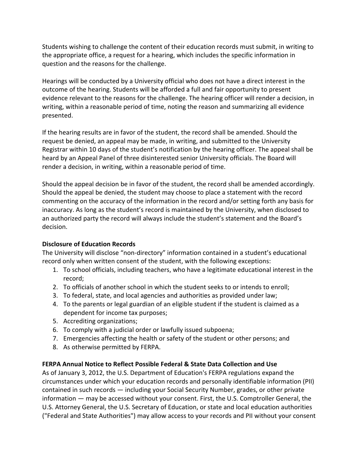Students wishing to challenge the content of their education records must submit, in writing to the appropriate office, a request for a hearing, which includes the specific information in question and the reasons for the challenge.

Hearings will be conducted by a University official who does not have a direct interest in the outcome of the hearing. Students will be afforded a full and fair opportunity to present evidence relevant to the reasons for the challenge. The hearing officer will render a decision, in writing, within a reasonable period of time, noting the reason and summarizing all evidence presented. 

If the hearing results are in favor of the student, the record shall be amended. Should the request be denied, an appeal may be made, in writing, and submitted to the University Registrar within 10 days of the student's notification by the hearing officer. The appeal shall be heard by an Appeal Panel of three disinterested senior University officials. The Board will render a decision, in writing, within a reasonable period of time.

Should the appeal decision be in favor of the student, the record shall be amended accordingly. Should the appeal be denied, the student may choose to place a statement with the record commenting on the accuracy of the information in the record and/or setting forth any basis for inaccuracy. As long as the student's record is maintained by the University, when disclosed to an authorized party the record will always include the student's statement and the Board's decision.

#### **Disclosure of Education Records**

The University will disclose "non-directory" information contained in a student's educational record only when written consent of the student, with the following exceptions:

- 1. To school officials, including teachers, who have a legitimate educational interest in the record;
- 2. To officials of another school in which the student seeks to or intends to enroll;
- 3. To federal, state, and local agencies and authorities as provided under law;
- 4. To the parents or legal guardian of an eligible student if the student is claimed as a dependent for income tax purposes;
- 5. Accrediting organizations;
- 6. To comply with a judicial order or lawfully issued subpoena;
- 7. Emergencies affecting the health or safety of the student or other persons; and
- 8. As otherwise permitted by FERPA.

#### **FERPA Annual Notice to Reflect Possible Federal & State Data Collection and Use**

As of January 3, 2012, the U.S. Department of Education's FERPA regulations expand the circumstances under which your education records and personally identifiable information (PII) contained in such records  $-$  including your Social Security Number, grades, or other private information — may be accessed without your consent. First, the U.S. Comptroller General, the U.S. Attorney General, the U.S. Secretary of Education, or state and local education authorities ("Federal and State Authorities") may allow access to your records and PII without your consent